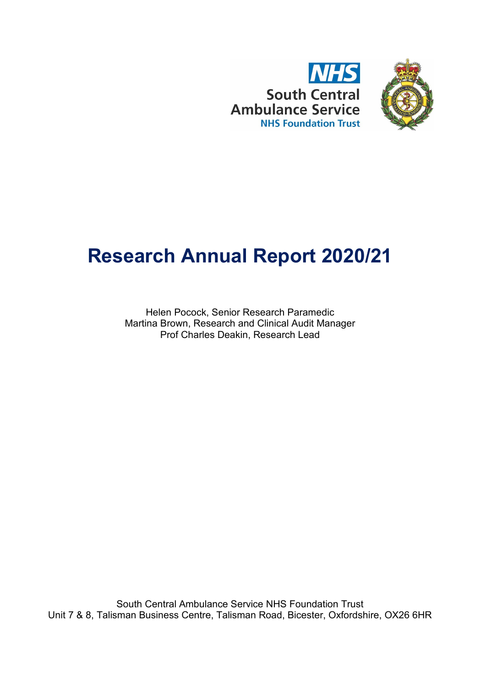



# **Research Annual Report 2020/21**

Helen Pocock, Senior Research Paramedic Martina Brown, Research and Clinical Audit Manager Prof Charles Deakin, Research Lead

South Central Ambulance Service NHS Foundation Trust Unit 7 & 8, Talisman Business Centre, Talisman Road, Bicester, Oxfordshire, OX26 6HR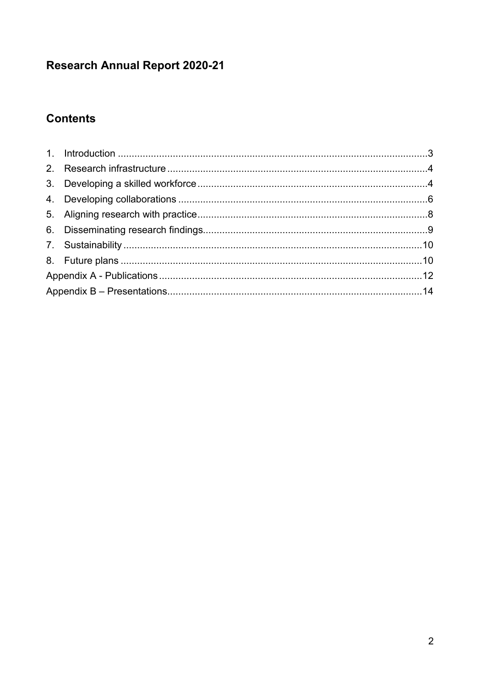# **Research Annual Report 2020-21**

# **Contents**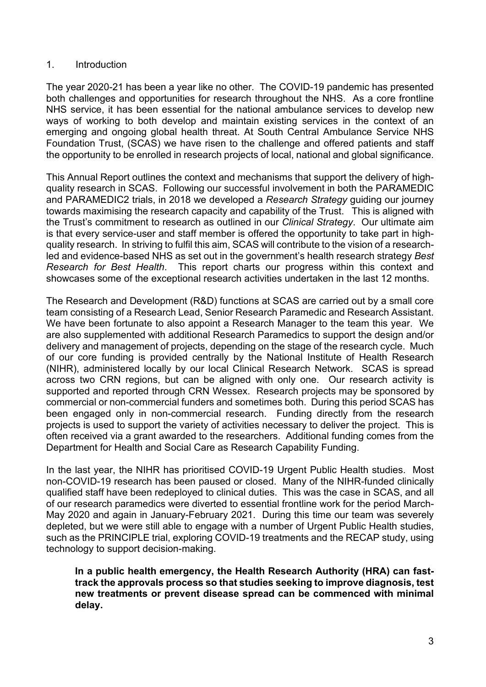# <span id="page-2-0"></span>1. Introduction

The year 2020-21 has been a year like no other. The COVID-19 pandemic has presented both challenges and opportunities for research throughout the NHS. As a core frontline NHS service, it has been essential for the national ambulance services to develop new ways of working to both develop and maintain existing services in the context of an emerging and ongoing global health threat. At South Central Ambulance Service NHS Foundation Trust, (SCAS) we have risen to the challenge and offered patients and staff the opportunity to be enrolled in research projects of local, national and global significance.

This Annual Report outlines the context and mechanisms that support the delivery of highquality research in SCAS. Following our successful involvement in both the PARAMEDIC and PARAMEDIC2 trials, in 2018 we developed a *Research Strategy* guiding our journey towards maximising the research capacity and capability of the Trust. This is aligned with the Trust's commitment to research as outlined in our *Clinical Strategy*. Our ultimate aim is that every service-user and staff member is offered the opportunity to take part in highquality research. In striving to fulfil this aim, SCAS will contribute to the vision of a researchled and evidence-based NHS as set out in the government's health research strategy *Best Research for Best Health*. This report charts our progress within this context and showcases some of the exceptional research activities undertaken in the last 12 months.

The Research and Development (R&D) functions at SCAS are carried out by a small core team consisting of a Research Lead, Senior Research Paramedic and Research Assistant. We have been fortunate to also appoint a Research Manager to the team this year. We are also supplemented with additional Research Paramedics to support the design and/or delivery and management of projects, depending on the stage of the research cycle. Much of our core funding is provided centrally by the National Institute of Health Research (NIHR), administered locally by our local Clinical Research Network. SCAS is spread across two CRN regions, but can be aligned with only one. Our research activity is supported and reported through CRN Wessex. Research projects may be sponsored by commercial or non-commercial funders and sometimes both. During this period SCAS has been engaged only in non-commercial research. Funding directly from the research projects is used to support the variety of activities necessary to deliver the project. This is often received via a grant awarded to the researchers. Additional funding comes from the Department for Health and Social Care as Research Capability Funding.

In the last year, the NIHR has prioritised COVID-19 Urgent Public Health studies. Most non-COVID-19 research has been paused or closed. Many of the NIHR-funded clinically qualified staff have been redeployed to clinical duties. This was the case in SCAS, and all of our research paramedics were diverted to essential frontline work for the period March-May 2020 and again in January-February 2021. During this time our team was severely depleted, but we were still able to engage with a number of Urgent Public Health studies, such as the PRINCIPLE trial, exploring COVID-19 treatments and the RECAP study, using technology to support decision-making.

**In a public health emergency, the Health Research Authority (HRA) can fasttrack the approvals process so that studies seeking to improve diagnosis, test new treatments or prevent disease spread can be commenced with minimal delay.**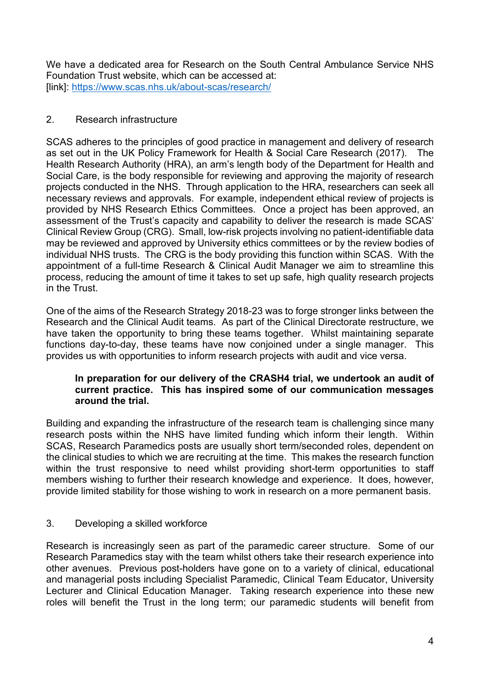We have a dedicated area for Research on the South Central Ambulance Service NHS Foundation Trust website, which can be accessed at: [link]:<https://www.scas.nhs.uk/about-scas/research/>

# <span id="page-3-0"></span>2. Research infrastructure

SCAS adheres to the principles of good practice in management and delivery of research as set out in the UK Policy Framework for Health & Social Care Research (2017). The Health Research Authority (HRA), an arm's length body of the Department for Health and Social Care, is the body responsible for reviewing and approving the majority of research projects conducted in the NHS. Through application to the HRA, researchers can seek all necessary reviews and approvals. For example, independent ethical review of projects is provided by NHS Research Ethics Committees. Once a project has been approved, an assessment of the Trust's capacity and capability to deliver the research is made SCAS' Clinical Review Group (CRG). Small, low-risk projects involving no patient-identifiable data may be reviewed and approved by University ethics committees or by the review bodies of individual NHS trusts. The CRG is the body providing this function within SCAS. With the appointment of a full-time Research & Clinical Audit Manager we aim to streamline this process, reducing the amount of time it takes to set up safe, high quality research projects in the Trust.

One of the aims of the Research Strategy 2018-23 was to forge stronger links between the Research and the Clinical Audit teams. As part of the Clinical Directorate restructure, we have taken the opportunity to bring these teams together. Whilst maintaining separate functions day-to-day, these teams have now conjoined under a single manager. This provides us with opportunities to inform research projects with audit and vice versa.

## **In preparation for our delivery of the CRASH4 trial, we undertook an audit of current practice. This has inspired some of our communication messages around the trial.**

Building and expanding the infrastructure of the research team is challenging since many research posts within the NHS have limited funding which inform their length. Within SCAS, Research Paramedics posts are usually short term/seconded roles, dependent on the clinical studies to which we are recruiting at the time. This makes the research function within the trust responsive to need whilst providing short-term opportunities to staff members wishing to further their research knowledge and experience. It does, however, provide limited stability for those wishing to work in research on a more permanent basis.

# <span id="page-3-1"></span>3. Developing a skilled workforce

Research is increasingly seen as part of the paramedic career structure. Some of our Research Paramedics stay with the team whilst others take their research experience into other avenues. Previous post-holders have gone on to a variety of clinical, educational and managerial posts including Specialist Paramedic, Clinical Team Educator, University Lecturer and Clinical Education Manager. Taking research experience into these new roles will benefit the Trust in the long term; our paramedic students will benefit from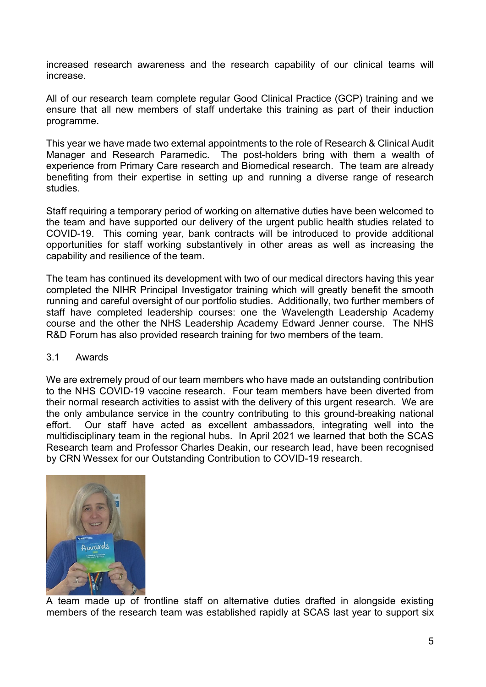increased research awareness and the research capability of our clinical teams will increase.

All of our research team complete regular Good Clinical Practice (GCP) training and we ensure that all new members of staff undertake this training as part of their induction programme.

This year we have made two external appointments to the role of Research & Clinical Audit Manager and Research Paramedic. The post-holders bring with them a wealth of experience from Primary Care research and Biomedical research. The team are already benefiting from their expertise in setting up and running a diverse range of research studies.

Staff requiring a temporary period of working on alternative duties have been welcomed to the team and have supported our delivery of the urgent public health studies related to COVID-19. This coming year, bank contracts will be introduced to provide additional opportunities for staff working substantively in other areas as well as increasing the capability and resilience of the team.

The team has continued its development with two of our medical directors having this year completed the NIHR Principal Investigator training which will greatly benefit the smooth running and careful oversight of our portfolio studies. Additionally, two further members of staff have completed leadership courses: one the Wavelength Leadership Academy course and the other the NHS Leadership Academy Edward Jenner course. The NHS R&D Forum has also provided research training for two members of the team.

## 3.1 Awards

We are extremely proud of our team members who have made an outstanding contribution to the NHS COVID-19 vaccine research. Four team members have been diverted from their normal research activities to assist with the delivery of this urgent research. We are the only ambulance service in the country contributing to this ground-breaking national effort. Our staff have acted as excellent ambassadors, integrating well into the multidisciplinary team in the regional hubs. In April 2021 we learned that both the SCAS Research team and Professor Charles Deakin, our research lead, have been recognised by CRN Wessex for our Outstanding Contribution to COVID-19 research.



A team made up of frontline staff on alternative duties drafted in alongside existing members of the research team was established rapidly at SCAS last year to support six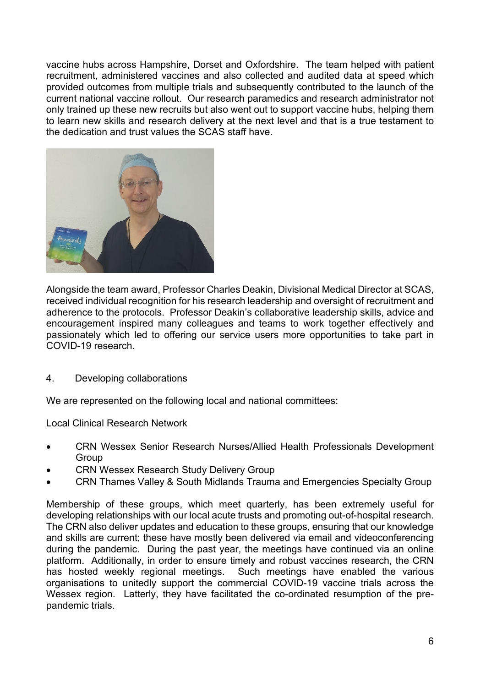vaccine hubs across Hampshire, Dorset and Oxfordshire. The team helped with patient recruitment, administered vaccines and also collected and audited data at speed which provided outcomes from multiple trials and subsequently contributed to the launch of the current national vaccine rollout. Our research paramedics and research administrator not only trained up these new recruits but also went out to support vaccine hubs, helping them to learn new skills and research delivery at the next level and that is a true testament to the dedication and trust values the SCAS staff have.



Alongside the team award, Professor Charles Deakin, Divisional Medical Director at SCAS, received individual recognition for his research leadership and oversight of recruitment and adherence to the protocols. Professor Deakin's collaborative leadership skills, advice and encouragement inspired many colleagues and teams to work together effectively and passionately which led to offering our service users more opportunities to take part in COVID-19 research.

## <span id="page-5-0"></span>4. Developing collaborations

We are represented on the following local and national committees:

Local Clinical Research Network

- CRN Wessex Senior Research Nurses/Allied Health Professionals Development **Group**
- CRN Wessex Research Study Delivery Group
- CRN Thames Valley & South Midlands Trauma and Emergencies Specialty Group

Membership of these groups, which meet quarterly, has been extremely useful for developing relationships with our local acute trusts and promoting out-of-hospital research. The CRN also deliver updates and education to these groups, ensuring that our knowledge and skills are current; these have mostly been delivered via email and videoconferencing during the pandemic. During the past year, the meetings have continued via an online platform. Additionally, in order to ensure timely and robust vaccines research, the CRN has hosted weekly regional meetings. Such meetings have enabled the various organisations to unitedly support the commercial COVID-19 vaccine trials across the Wessex region. Latterly, they have facilitated the co-ordinated resumption of the prepandemic trials.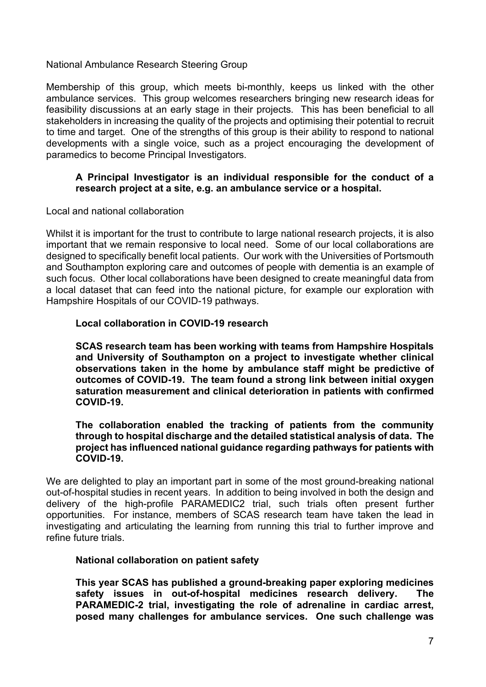National Ambulance Research Steering Group

Membership of this group, which meets bi-monthly, keeps us linked with the other ambulance services. This group welcomes researchers bringing new research ideas for feasibility discussions at an early stage in their projects. This has been beneficial to all stakeholders in increasing the quality of the projects and optimising their potential to recruit to time and target. One of the strengths of this group is their ability to respond to national developments with a single voice, such as a project encouraging the development of paramedics to become Principal Investigators.

# **A Principal Investigator is an individual responsible for the conduct of a research project at a site, e.g. an ambulance service or a hospital.**

Local and national collaboration

Whilst it is important for the trust to contribute to large national research projects, it is also important that we remain responsive to local need. Some of our local collaborations are designed to specifically benefit local patients. Our work with the Universities of Portsmouth and Southampton exploring care and outcomes of people with dementia is an example of such focus. Other local collaborations have been designed to create meaningful data from a local dataset that can feed into the national picture, for example our exploration with Hampshire Hospitals of our COVID-19 pathways.

#### **Local collaboration in COVID-19 research**

**SCAS research team has been working with teams from Hampshire Hospitals and University of Southampton on a project to investigate whether clinical observations taken in the home by ambulance staff might be predictive of outcomes of COVID-19. The team found a strong link between initial oxygen saturation measurement and clinical deterioration in patients with confirmed COVID-19.**

**The collaboration enabled the tracking of patients from the community through to hospital discharge and the detailed statistical analysis of data. The project has influenced national guidance regarding pathways for patients with COVID-19.**

We are delighted to play an important part in some of the most ground-breaking national out-of-hospital studies in recent years. In addition to being involved in both the design and delivery of the high-profile PARAMEDIC2 trial, such trials often present further opportunities. For instance, members of SCAS research team have taken the lead in investigating and articulating the learning from running this trial to further improve and refine future trials.

## **National collaboration on patient safety**

**This year SCAS has published a ground-breaking paper exploring medicines safety issues in out-of-hospital medicines research delivery. The PARAMEDIC-2 trial, investigating the role of adrenaline in cardiac arrest, posed many challenges for ambulance services. One such challenge was**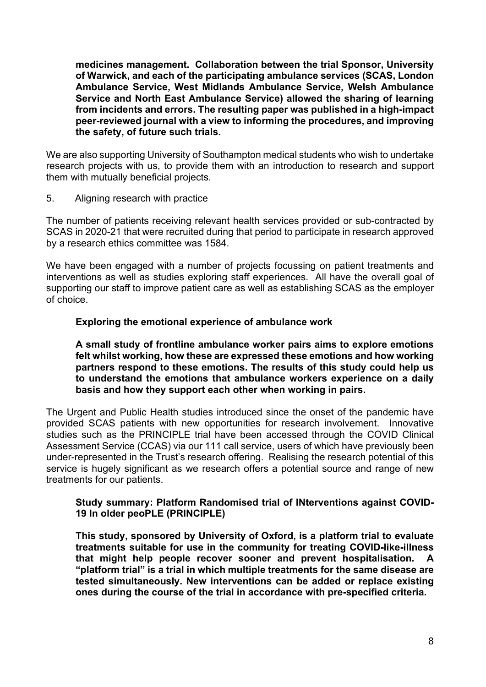**medicines management. Collaboration between the trial Sponsor, University of Warwick, and each of the participating ambulance services (SCAS, London Ambulance Service, West Midlands Ambulance Service, Welsh Ambulance Service and North East Ambulance Service) allowed the sharing of learning from incidents and errors. The resulting paper was published in a high-impact peer-reviewed journal with a view to informing the procedures, and improving the safety, of future such trials.** 

We are also supporting University of Southampton medical students who wish to undertake research projects with us, to provide them with an introduction to research and support them with mutually beneficial projects.

<span id="page-7-0"></span>5. Aligning research with practice

The number of patients receiving relevant health services provided or sub-contracted by SCAS in 2020-21 that were recruited during that period to participate in research approved by a research ethics committee was 1584.

We have been engaged with a number of projects focussing on patient treatments and interventions as well as studies exploring staff experiences. All have the overall goal of supporting our staff to improve patient care as well as establishing SCAS as the employer of choice.

# **Exploring the emotional experience of ambulance work**

**A small study of frontline ambulance worker pairs aims to explore emotions felt whilst working, how these are expressed these emotions and how working partners respond to these emotions. The results of this study could help us to understand the emotions that ambulance workers experience on a daily basis and how they support each other when working in pairs.**

The Urgent and Public Health studies introduced since the onset of the pandemic have provided SCAS patients with new opportunities for research involvement. Innovative studies such as the PRINCIPLE trial have been accessed through the COVID Clinical Assessment Service (CCAS) via our 111 call service, users of which have previously been under-represented in the Trust's research offering. Realising the research potential of this service is hugely significant as we research offers a potential source and range of new treatments for our patients.

## **Study summary: Platform Randomised trial of INterventions against COVID-19 In older peoPLE (PRINCIPLE)**

**This study, sponsored by University of Oxford, is a platform trial to evaluate treatments suitable for use in the community for treating COVID-like-illness that might help people recover sooner and prevent hospitalisation. A "platform trial" is a trial in which multiple treatments for the same disease are tested simultaneously. New interventions can be added or replace existing ones during the course of the trial in accordance with pre-specified criteria.**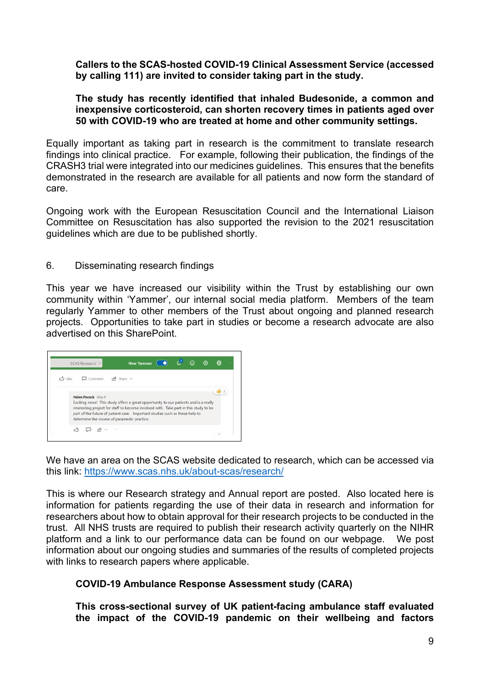# **Callers to the SCAS-hosted COVID-19 Clinical Assessment Service (accessed by calling 111) are invited to consider taking part in the study.**

## **The study has recently identified that inhaled Budesonide, a common and inexpensive corticosteroid, can shorten recovery times in patients aged over 50 with COVID-19 who are treated at home and other community settings.**

Equally important as taking part in research is the commitment to translate research findings into clinical practice. For example, following their publication, the findings of the CRASH3 trial were integrated into our medicines guidelines. This ensures that the benefits demonstrated in the research are available for all patients and now form the standard of care.

Ongoing work with the European Resuscitation Council and the International Liaison Committee on Resuscitation has also supported the revision to the 2021 resuscitation guidelines which are due to be published shortly.

# <span id="page-8-0"></span>6. Disseminating research findings

This year we have increased our visibility within the Trust by establishing our own community within 'Yammer', our internal social media platform. Members of the team regularly Yammer to other members of the Trust about ongoing and planned research projects. Opportunities to take part in studies or become a research advocate are also advertised on this SharePoint.



We have an area on the SCAS website dedicated to research, which can be accessed via this link:<https://www.scas.nhs.uk/about-scas/research/>

This is where our Research strategy and Annual report are posted. Also located here is information for patients regarding the use of their data in research and information for researchers about how to obtain approval for their research projects to be conducted in the trust. All NHS trusts are required to publish their research activity quarterly on the NIHR platform and a link to our performance data can be found on our webpage. We post information about our ongoing studies and summaries of the results of completed projects with links to research papers where applicable.

# **COVID-19 Ambulance Response Assessment study (CARA)**

**This cross-sectional survey of UK patient-facing ambulance staff evaluated the impact of the COVID-19 pandemic on their wellbeing and factors**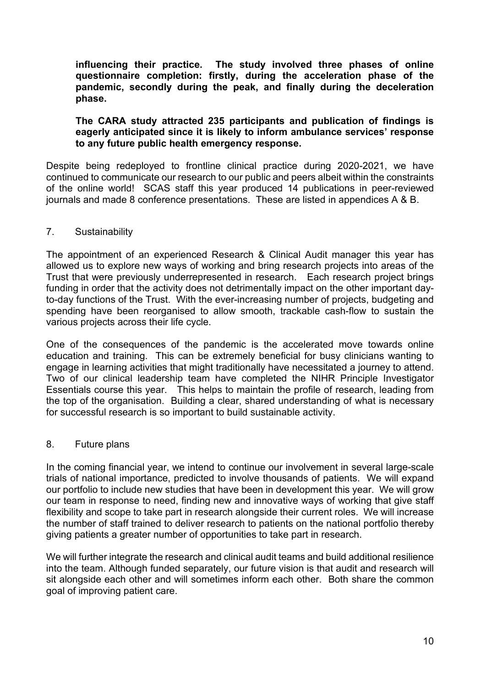**influencing their practice. The study involved three phases of online questionnaire completion: firstly, during the acceleration phase of the pandemic, secondly during the peak, and finally during the deceleration phase.**

# **The CARA study attracted 235 participants and publication of findings is eagerly anticipated since it is likely to inform ambulance services' response to any future public health emergency response.**

Despite being redeployed to frontline clinical practice during 2020-2021, we have continued to communicate our research to our public and peers albeit within the constraints of the online world! SCAS staff this year produced 14 publications in peer-reviewed journals and made 8 conference presentations. These are listed in appendices A & B.

# <span id="page-9-0"></span>7. Sustainability

The appointment of an experienced Research & Clinical Audit manager this year has allowed us to explore new ways of working and bring research projects into areas of the Trust that were previously underrepresented in research. Each research project brings funding in order that the activity does not detrimentally impact on the other important dayto-day functions of the Trust. With the ever-increasing number of projects, budgeting and spending have been reorganised to allow smooth, trackable cash-flow to sustain the various projects across their life cycle.

One of the consequences of the pandemic is the accelerated move towards online education and training. This can be extremely beneficial for busy clinicians wanting to engage in learning activities that might traditionally have necessitated a journey to attend. Two of our clinical leadership team have completed the NIHR Principle Investigator Essentials course this year. This helps to maintain the profile of research, leading from the top of the organisation. Building a clear, shared understanding of what is necessary for successful research is so important to build sustainable activity.

## <span id="page-9-1"></span>8. Future plans

In the coming financial year, we intend to continue our involvement in several large-scale trials of national importance, predicted to involve thousands of patients. We will expand our portfolio to include new studies that have been in development this year. We will grow our team in response to need, finding new and innovative ways of working that give staff flexibility and scope to take part in research alongside their current roles. We will increase the number of staff trained to deliver research to patients on the national portfolio thereby giving patients a greater number of opportunities to take part in research.

We will further integrate the research and clinical audit teams and build additional resilience into the team. Although funded separately, our future vision is that audit and research will sit alongside each other and will sometimes inform each other. Both share the common goal of improving patient care.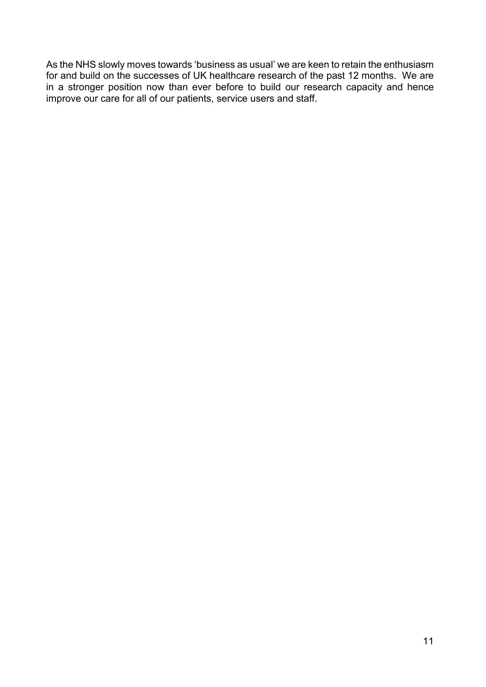As the NHS slowly moves towards 'business as usual' we are keen to retain the enthusiasm for and build on the successes of UK healthcare research of the past 12 months. We are in a stronger position now than ever before to build our research capacity and hence improve our care for all of our patients, service users and staff.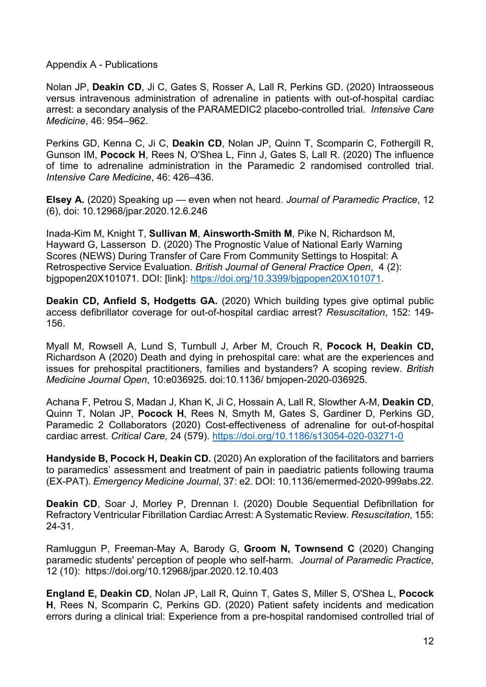<span id="page-11-0"></span>Appendix A - Publications

[Nolan JP,](https://amber.openrepository.com/discover?filtertype_1=author&filter_relational_operator_1=equals&filter_1=Nolan,%20Jerry%20P.) **[Deakin CD](https://amber.openrepository.com/discover?filtertype_1=author&filter_relational_operator_1=equals&filter_1=Deakin,%20Charles%20D.)**, [Ji C,](https://amber.openrepository.com/discover?filtertype_1=author&filter_relational_operator_1=equals&filter_1=Ji,%20Chen) [Gates S,](https://amber.openrepository.com/discover?filtertype_1=author&filter_relational_operator_1=equals&filter_1=Gates,%20Simon) [Rosser A,](https://amber.openrepository.com/discover?filtertype_1=author&filter_relational_operator_1=equals&filter_1=Rosser,%20Andy) [Lall R,](https://amber.openrepository.com/discover?filtertype_1=author&filter_relational_operator_1=equals&filter_1=Lall,%20Ranjit) [Perkins GD.](https://amber.openrepository.com/discover?filtertype_1=author&filter_relational_operator_1=equals&filter_1=Perkins,%20Gavin%20D.) (2020) Intraosseous versus intravenous administration of adrenaline in patients with out-of-hospital cardiac arrest: a secondary analysis of the PARAMEDIC2 placebo-controlled trial. *Intensive Care Medicine*, 46: 954–962.

[Perkins GD,](https://amber.openrepository.com/discover?filtertype_1=author&filter_relational_operator_1=equals&filter_1=Perkins,%20Gavin%20D.) [Kenna C,](https://amber.openrepository.com/discover?filtertype_1=author&filter_relational_operator_1=equals&filter_1=Kenna,%20Claire) [Ji C,](https://amber.openrepository.com/discover?filtertype_1=author&filter_relational_operator_1=equals&filter_1=Ji,%20Chen) **[Deakin CD](https://amber.openrepository.com/discover?filtertype_1=author&filter_relational_operator_1=equals&filter_1=Deakin,%20Charles%20D.)**, [Nolan JP,](https://amber.openrepository.com/discover?filtertype_1=author&filter_relational_operator_1=equals&filter_1=Nolan,%20Jerry%20P.) [Quinn T,](https://amber.openrepository.com/discover?filtertype_1=author&filter_relational_operator_1=equals&filter_1=Quinn,%20Tom) [Scomparin C,](https://amber.openrepository.com/discover?filtertype_1=author&filter_relational_operator_1=equals&filter_1=Scomparin,%20Charlotte) [Fothergill R,](https://amber.openrepository.com/discover?filtertype_1=author&filter_relational_operator_1=equals&filter_1=Fothergill,%20Rachael) [Gunson IM,](https://amber.openrepository.com/discover?filtertype_1=author&filter_relational_operator_1=equals&filter_1=Gunson,%20Imogen%20M.) **[Pocock H](https://amber.openrepository.com/discover?filtertype_1=author&filter_relational_operator_1=equals&filter_1=Pocock,%20Helen)**, [Rees N,](https://amber.openrepository.com/discover?filtertype_1=author&filter_relational_operator_1=equals&filter_1=Rees,%20Nigel) [O'Shea L,](https://amber.openrepository.com/discover?filtertype_1=author&filter_relational_operator_1=equals&filter_1=O%27Shea,%20Lyndsey) [Finn J,](https://amber.openrepository.com/discover?filtertype_1=author&filter_relational_operator_1=equals&filter_1=Finn,%20Judith) [Gates S,](https://amber.openrepository.com/discover?filtertype_1=author&filter_relational_operator_1=equals&filter_1=Gates,%20Simon) [Lall R.](https://amber.openrepository.com/discover?filtertype_1=author&filter_relational_operator_1=equals&filter_1=Lall,%20Ranjit) (2020) The influence of time to adrenaline administration in the Paramedic 2 randomised controlled trial. *[Intensive Care Medicine](https://link.springer.com/journal/134)*, 46: 426–436.

**Elsey A.** (2020) Speaking up — even when not heard. *[Journal of Paramedic Practice](https://www.magonlinelibrary.com/journal/jpar)*[, 12](https://www.magonlinelibrary.com/toc/jpar/12/6)  [\(6\)](https://www.magonlinelibrary.com/toc/jpar/12/6), doi: [10.12968/jpar.2020.12.6.246](http://dx.doi.org/10.12968/jpar.2020.12.6.246)

[Inada-Kim M,](https://amber.openrepository.com/discover?filtertype_1=author&filter_relational_operator_1=equals&filter_1=inada-kim,%20matthew) [Knight T,](https://amber.openrepository.com/discover?filtertype_1=author&filter_relational_operator_1=equals&filter_1=Knight,%20Thomas) **[Sullivan M](https://amber.openrepository.com/discover?filtertype_1=author&filter_relational_operator_1=equals&filter_1=Sullivan,%20Michelle)**, **[Ainsworth-Smith M](https://amber.openrepository.com/discover?filtertype_1=author&filter_relational_operator_1=equals&filter_1=Ainsworth-Smith,%20Mark)**, [Pike N,](https://amber.openrepository.com/discover?filtertype_1=author&filter_relational_operator_1=equals&filter_1=Pike,%20Neil) [Richardson M,](https://amber.openrepository.com/discover?filtertype_1=author&filter_relational_operator_1=equals&filter_1=Richardson,%20Mathew) [Hayward G,](https://amber.openrepository.com/discover?filtertype_1=author&filter_relational_operator_1=equals&filter_1=Hayward,%20Gail) [Lasserson D.](https://amber.openrepository.com/discover?filtertype_1=author&filter_relational_operator_1=equals&filter_1=Lasserson,%20Daniel) (2020) The Prognostic Value of National Early Warning Scores (NEWS) During Transfer of Care From Community Settings to Hospital: A Retrospective Service Evaluation. *British Journal of General Practice Open*, 4 (2): bjgpopen20X101071. DOI: [link]: [https://doi.org/10.3399/bjgpopen20X101071.](https://doi.org/10.3399/bjgpopen20X101071)

**[Deakin CD](https://amber.openrepository.com/discover?filtertype_1=author&filter_relational_operator_1=equals&filter_1=Deakin,%20Charles), [Anfield S,](https://amber.openrepository.com/discover?filtertype_1=author&filter_relational_operator_1=equals&filter_1=Anfield,%20Steve) [Hodgetts GA.](https://amber.openrepository.com/discover?filtertype_1=author&filter_relational_operator_1=equals&filter_1=Hodgetts,%20Gillian%20A.)** (2020) Which building types give optimal public access defibrillator coverage for out-of-hospital cardiac arrest? *Resuscitation*, 152: 149- 156.

[Myall M,](https://amber.openrepository.com/discover?filtertype_1=author&filter_relational_operator_1=equals&filter_1=Myall,%20Michelle) [Rowsell A,](https://amber.openrepository.com/discover?filtertype_1=author&filter_relational_operator_1=equals&filter_1=Rowsell,%20Alison) [Lund S,](https://amber.openrepository.com/discover?filtertype_1=author&filter_relational_operator_1=equals&filter_1=Lund,%20Susi) [Turnbull J,](https://amber.openrepository.com/discover?filtertype_1=author&filter_relational_operator_1=equals&filter_1=Turnbull,%20Joanne) Arber M, Crouch R, **[Pocock H,](https://amber.openrepository.com/discover?filtertype_1=author&filter_relational_operator_1=equals&filter_1=Pocock,%20Helen) [Deakin CD,](https://amber.openrepository.com/discover?filtertype_1=author&filter_relational_operator_1=equals&filter_1=Deakin,%20Charles)** [Richardson A](https://amber.openrepository.com/discover?filtertype_1=author&filter_relational_operator_1=equals&filter_1=Richardson,%20Alison) (2020) Death and dying in prehospital care: what are the experiences and issues for prehospital practitioners, families and bystanders? A scoping review. *British Medicine Journal Open*, 10:e036925. doi:10.1136/ bmjopen-2020-036925.

[Achana F,](https://amber.openrepository.com/discover?filtertype_1=author&filter_relational_operator_1=equals&filter_1=Achana,%20Felix) [Petrou S,](https://amber.openrepository.com/discover?filtertype_1=author&filter_relational_operator_1=equals&filter_1=Petrou,%20Stavros) [Madan J,](https://amber.openrepository.com/discover?filtertype_1=author&filter_relational_operator_1=equals&filter_1=Madan,%20Jason) [Khan K,](https://amber.openrepository.com/discover?filtertype_1=author&filter_relational_operator_1=equals&filter_1=Khan,%20Kamran) [Ji C,](https://amber.openrepository.com/discover?filtertype_1=author&filter_relational_operator_1=equals&filter_1=Ji,%20Chen) [Hossain A,](https://amber.openrepository.com/discover?filtertype_1=author&filter_relational_operator_1=equals&filter_1=Hossain,%20Anower) [Lall R,](https://amber.openrepository.com/discover?filtertype_1=author&filter_relational_operator_1=equals&filter_1=Lall,%20Ranjit) [Slowther A-M,](https://amber.openrepository.com/discover?filtertype_1=author&filter_relational_operator_1=equals&filter_1=Slowther,%20Anne%20Marie) **[Deakin CD](https://amber.openrepository.com/discover?filtertype_1=author&filter_relational_operator_1=equals&filter_1=Deakin,%20Charles)**, [Quinn T,](https://amber.openrepository.com/discover?filtertype_1=author&filter_relational_operator_1=equals&filter_1=Quinn,%20Tom) [Nolan JP,](https://amber.openrepository.com/discover?filtertype_1=author&filter_relational_operator_1=equals&filter_1=Nolan,%20Jerry%20P.) **[Pocock H](https://amber.openrepository.com/discover?filtertype_1=author&filter_relational_operator_1=equals&filter_1=Pocock,%20Helen)**, [Rees N,](https://amber.openrepository.com/discover?filtertype_1=author&filter_relational_operator_1=equals&filter_1=Rees,%20Nigel) [Smyth](https://amber.openrepository.com/discover?filtertype_1=author&filter_relational_operator_1=equals&filter_1=smyth,%20mike) M, [Gates S,](https://amber.openrepository.com/discover?filtertype_1=author&filter_relational_operator_1=equals&filter_1=Gates,%20Simon) [Gardiner D,](https://amber.openrepository.com/discover?filtertype_1=author&filter_relational_operator_1=equals&filter_1=Gardiner,%20Dale) [Perkins GD,](https://amber.openrepository.com/discover?filtertype_1=author&filter_relational_operator_1=equals&filter_1=Perkins,%20Gavin%20D.)  [Paramedic 2 Collaborators](https://amber.openrepository.com/discover?filtertype_1=author&filter_relational_operator_1=equals&filter_1=Paramedic%202%20Collaborators) (2020) Cost-effectiveness of adrenaline for out-of-hospital cardiac arrest. *Critical Care,* 24 (579).<https://doi.org/10.1186/s13054-020-03271-0>

**[Handyside B,](https://amber.openrepository.com/discover?filtertype_1=author&filter_relational_operator_1=equals&filter_1=Handyside,%20Barry) [Pocock H,](https://amber.openrepository.com/discover?filtertype_1=author&filter_relational_operator_1=equals&filter_1=Pocock,%20Helen) [Deakin CD.](https://amber.openrepository.com/discover?filtertype_1=author&filter_relational_operator_1=equals&filter_1=Deakin,%20Charles)** (2020) An exploration of the facilitators and barriers to paramedics' assessment and treatment of pain in paediatric patients following trauma (EX-PAT). *Emergency Medicine Journal*, 37: e2. DOI: 10.1136/emermed-2020-999abs.22.

**Deakin CD**, Soar J, Morley P, Drennan I. (2020) Double Sequential Defibrillation for Refractory Ventricular Fibrillation Cardiac Arrest: A Systematic Review. *Resuscitation,* 155: 24-31.

Ramluggun P, [Freeman-May A,](https://amber.openrepository.com/discover?filtertype_1=author&filter_relational_operator_1=equals&filter_1=Freeman-May,%20Andrew) [Barody G,](https://amber.openrepository.com/discover?filtertype_1=author&filter_relational_operator_1=equals&filter_1=Barody,%20Gabby) **Groom N, Townsend C** (2020) Changing paramedic students' perception of people who self-harm. *Journal of Paramedic Practice*, 12 (10): <https://doi.org/10.12968/jpar.2020.12.10.403>

**England E, Deakin CD**, Nolan JP, Lall R, Quinn T, Gates S, Miller S, O'Shea L, **Pocock H**, Rees N, Scomparin C, Perkins GD. (2020) Patient safety incidents and medication errors during a clinical trial: Experience from a pre-hospital randomised controlled trial of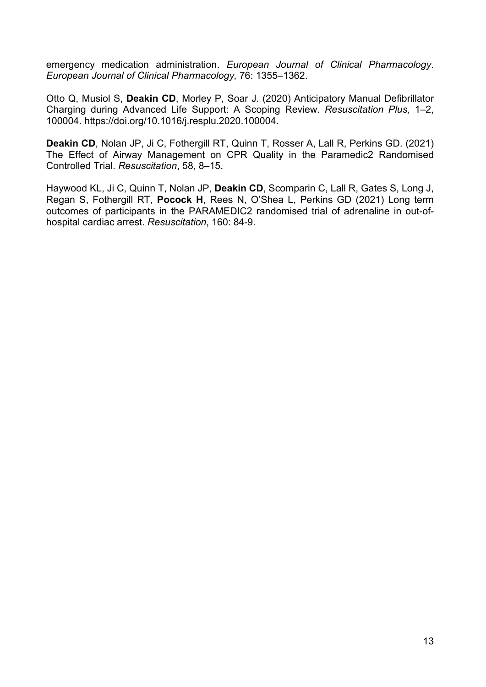emergency medication administration. *European Journal of Clinical Pharmacology*. *[European Journal of Clinical Pharmacology,](https://link.springer.com/journal/228)* 76: 1355–1362.

Otto Q, Musiol S, **Deakin CD**, Morley P, Soar J. (2020) Anticipatory Manual Defibrillator Charging during Advanced Life Support: A Scoping Review. *Resuscitation Plus,* 1–2, 100004. [https://doi.org/10.1016/j.resplu.2020.100004.](https://doi.org/10.1016/j.resplu.2020.100004)

**Deakin CD**, Nolan JP, Ji C, Fothergill RT, Quinn T, Rosser A, Lall R, Perkins GD. (2021) The Effect of Airway Management on CPR Quality in the Paramedic2 Randomised Controlled Trial. *Resuscitation*, 58, 8–15.

Haywood KL, Ji C, Quinn T, Nolan JP, **Deakin CD**, Scomparin C, Lall R, Gates S, Long J, Regan S, Fothergill RT, **Pocock H**, Rees N, O'Shea L, Perkins GD (2021) Long term outcomes of participants in the PARAMEDIC2 randomised trial of adrenaline in out-ofhospital cardiac arrest. *Resuscitation*, 160: 84-9.